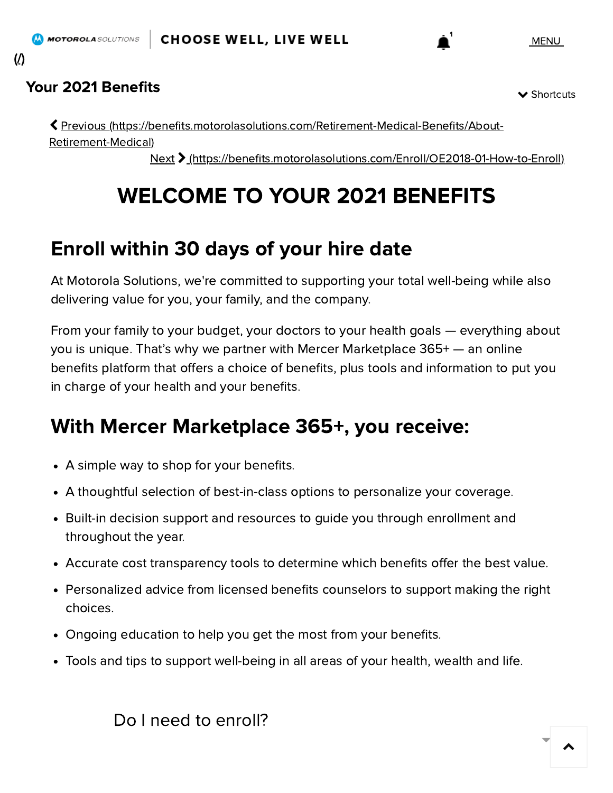**CHOOSE WELL, LIVE WELL** 

**Your 2021 Benefits**  $\bullet$  Shortcuts

 Previous [\(https://benefits.motorolasolutions.com/Retirement-Medical-Benefits/About-](https://benefits.motorolasolutions.com/Retirement-Medical-Benefits/About-Retirement-Medical)Retirement-Medical)

Next [\(https://benefits.motorolasolutions.com/Enroll/OE2018-01-How-to-Enroll\)](https://benefits.motorolasolutions.com/Enroll/OE2018-01-How-to-Enroll)

## WELCOME TO YOUR 2021 BENEFITS

## Enroll within 30 days of your hire date

At Motorola Solutions, we're committed to supporting your total well-being while also delivering value for you, your family, and the company.

From your family to your budget, your doctors to your health goals — everything about you is unique. That's why we partner with Mercer Marketplace 365+ — an online benefits platform that offers a choice of benefits, plus tools and information to put you in charge of your health and your benefits.

## With Mercer Marketplace 365+, you receive:

- A simple way to shop for your benefits.
- A thoughtful selection of best-in-class options to personalize your coverage.
- Built-in decision support and resources to guide you through enrollment and throughout the year.
- Accurate cost transparency tools to determine which benefits offer the best value.
- Personalized advice from licensed benefits counselors to support making the right choices.
- Ongoing education to help you get the most from your benefits.
- Tools and tips to support well-being in all areas of your health, wealth and life.

Do I need to enroll?

[\(/\)](https://benefits.motorolasolutions.com/)

1

 $\blacktriangle$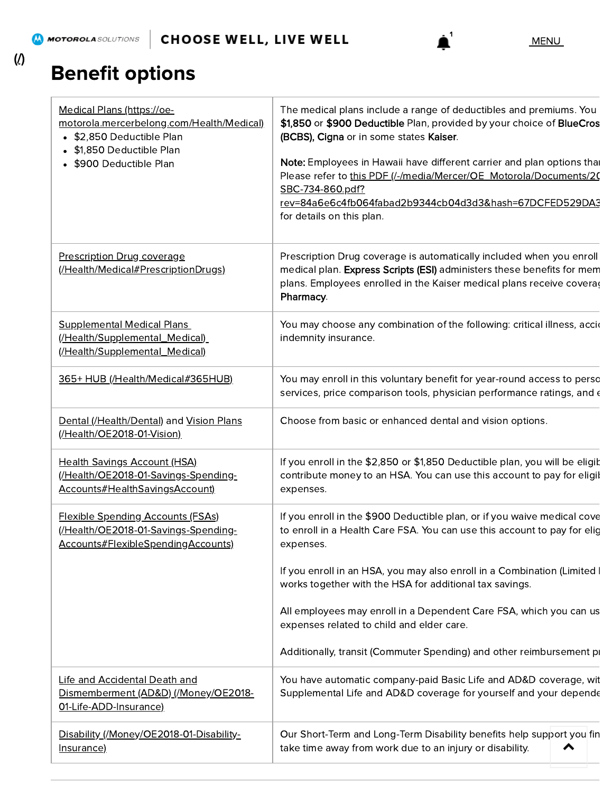$\Delta$ 

## Benefit [options](https://benefits.motorolasolutions.com/)

**MOTOROLA** SOLUTIONS

| Medical Plans (https://oe-<br>motorola.mercerbelong.com/Health/Medical)<br>\$2,850 Deductible Plan<br>\$1,850 Deductible Plan<br>$\bullet$ | The medical plans include a range of deductibles and premiums. You<br>\$1,850 or \$900 Deductible Plan, provided by your choice of BlueCros<br>(BCBS), Cigna or in some states Kaiser.                                                                    |
|--------------------------------------------------------------------------------------------------------------------------------------------|-----------------------------------------------------------------------------------------------------------------------------------------------------------------------------------------------------------------------------------------------------------|
| \$900 Deductible Plan                                                                                                                      | Note: Employees in Hawaii have different carrier and plan options that<br>Please refer to this PDF (/-/media/Mercer/OE_Motorola/Documents/20)<br>SBC-734-860.pdf?<br>rev=84a6e6c4fb064fabad2b9344cb04d3d3&hash=67DCFED529DA3<br>for details on this plan. |
| Prescription Drug coverage<br>(Health/Medical#PrescriptionDrugs)                                                                           | Prescription Drug coverage is automatically included when you enroll<br>medical plan. Express Scripts (ESI) administers these benefits for mem<br>plans. Employees enrolled in the Kaiser medical plans receive coveras<br>Pharmacy.                      |
| <b>Supplemental Medical Plans</b><br>(/Health/Supplemental_Medical)<br>(/Health/Supplemental_Medical)                                      | You may choose any combination of the following: critical illness, accident<br>indemnity insurance.                                                                                                                                                       |
| 365+ HUB (/Health/Medical#365HUB)                                                                                                          | You may enroll in this voluntary benefit for year-round access to persc<br>services, price comparison tools, physician performance ratings, and $\epsilon$                                                                                                |
| Dental (/Health/Dental) and Vision Plans<br>(/Health/OE2018-01-Vision)                                                                     | Choose from basic or enhanced dental and vision options.                                                                                                                                                                                                  |
| <b>Health Savings Account (HSA)</b><br>(Health/OE2018-01-Savings-Spending-<br>Accounts#HealthSavingsAccount)                               | If you enroll in the \$2,850 or \$1,850 Deductible plan, you will be eligit<br>contribute money to an HSA. You can use this account to pay for eligil<br>expenses.                                                                                        |
| <b>Flexible Spending Accounts (FSAs)</b><br>(/Health/OE2018-01-Savings-Spending-<br>Accounts#FlexibleSpendingAccounts)                     | If you enroll in the \$900 Deductible plan, or if you waive medical cove<br>to enroll in a Health Care FSA. You can use this account to pay for elig<br>expenses.                                                                                         |
|                                                                                                                                            | If you enroll in an HSA, you may also enroll in a Combination (Limited I<br>works together with the HSA for additional tax savings.                                                                                                                       |
|                                                                                                                                            | All employees may enroll in a Dependent Care FSA, which you can us<br>expenses related to child and elder care.                                                                                                                                           |
|                                                                                                                                            | Additionally, transit (Commuter Spending) and other reimbursement p                                                                                                                                                                                       |
| Life and Accidental Death and<br>Dismemberment (AD&D) (/Money/OE2018-<br>01-Life-ADD-Insurance)                                            | You have automatic company-paid Basic Life and AD&D coverage, wit<br>Supplemental Life and AD&D coverage for yourself and your depende                                                                                                                    |
| Disability (/Money/OE2018-01-Disability-<br>Insurance)                                                                                     | Our Short-Term and Long-Term Disability benefits help support you fin<br>take time away from work due to an injury or disability.<br>∧                                                                                                                    |

(/)